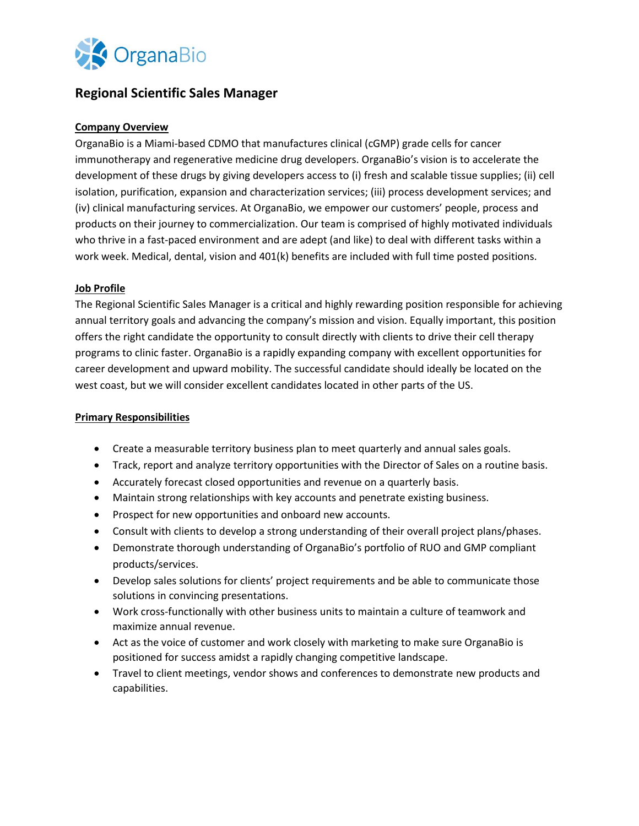

# **Regional Scientific Sales Manager**

## **Company Overview**

OrganaBio is a Miami-based CDMO that manufactures clinical (cGMP) grade cells for cancer immunotherapy and regenerative medicine drug developers. OrganaBio's vision is to accelerate the development of these drugs by giving developers access to (i) fresh and scalable tissue supplies; (ii) cell isolation, purification, expansion and characterization services; (iii) process development services; and (iv) clinical manufacturing services. At OrganaBio, we empower our customers' people, process and products on their journey to commercialization. Our team is comprised of highly motivated individuals who thrive in a fast-paced environment and are adept (and like) to deal with different tasks within a work week. Medical, dental, vision and 401(k) benefits are included with full time posted positions.

### **Job Profile**

The Regional Scientific Sales Manager is a critical and highly rewarding position responsible for achieving annual territory goals and advancing the company's mission and vision. Equally important, this position offers the right candidate the opportunity to consult directly with clients to drive their cell therapy programs to clinic faster. OrganaBio is a rapidly expanding company with excellent opportunities for career development and upward mobility. The successful candidate should ideally be located on the west coast, but we will consider excellent candidates located in other parts of the US.

### **Primary Responsibilities**

- Create a measurable territory business plan to meet quarterly and annual sales goals.
- Track, report and analyze territory opportunities with the Director of Sales on a routine basis.
- Accurately forecast closed opportunities and revenue on a quarterly basis.
- Maintain strong relationships with key accounts and penetrate existing business.
- Prospect for new opportunities and onboard new accounts.
- Consult with clients to develop a strong understanding of their overall project plans/phases.
- Demonstrate thorough understanding of OrganaBio's portfolio of RUO and GMP compliant products/services.
- Develop sales solutions for clients' project requirements and be able to communicate those solutions in convincing presentations.
- Work cross-functionally with other business units to maintain a culture of teamwork and maximize annual revenue.
- Act as the voice of customer and work closely with marketing to make sure OrganaBio is positioned for success amidst a rapidly changing competitive landscape.
- Travel to client meetings, vendor shows and conferences to demonstrate new products and capabilities.